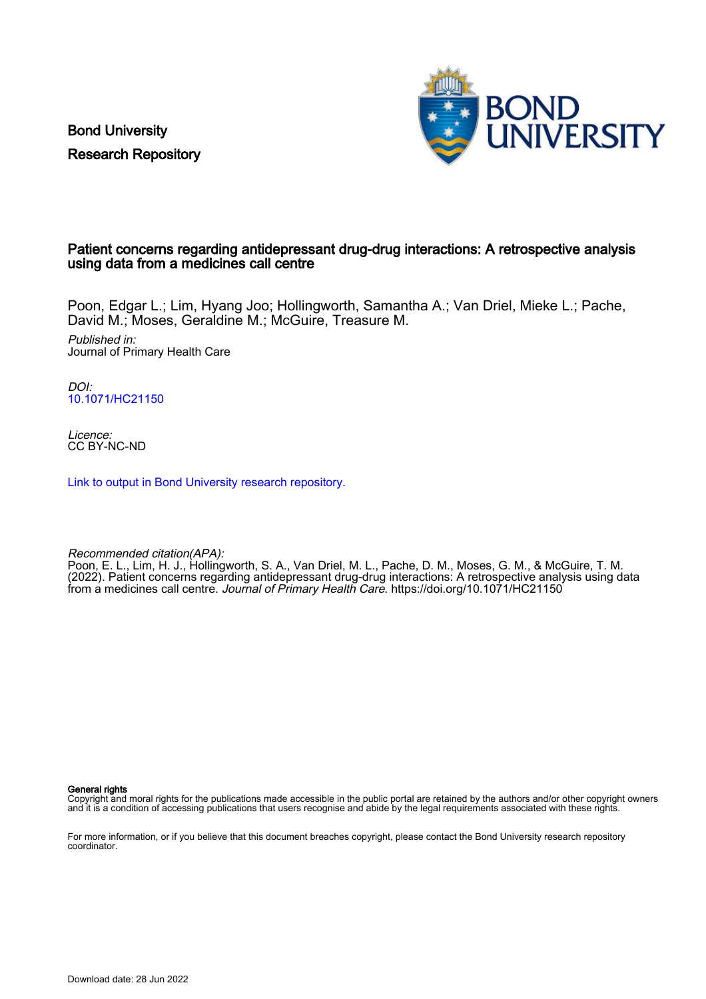Bond University Research Repository



# Patient concerns regarding antidepressant drug-drug interactions: A retrospective analysis using data from a medicines call centre

Poon, Edgar L.; Lim, Hyang Joo; Hollingworth, Samantha A.; Van Driel, Mieke L.; Pache, David M.; Moses, Geraldine M.; McGuire, Treasure M.

Published in: Journal of Primary Health Care

DOI: [10.1071/HC21150](https://doi.org/10.1071/HC21150)

Licence: CC BY-NC-ND

[Link to output in Bond University research repository.](https://research.bond.edu.au/en/publications/d895b437-917d-4a96-bbf0-be29afeecb6c)

Recommended citation(APA):

Poon, E. L., Lim, H. J., Hollingworth, S. A., Van Driel, M. L., Pache, D. M., Moses, G. M., & McGuire, T. M. (2022). Patient concerns regarding antidepressant drug-drug interactions: A retrospective analysis using data from a medicines call centre. Journal of Primary Health Care. <https://doi.org/10.1071/HC21150>

General rights

Copyright and moral rights for the publications made accessible in the public portal are retained by the authors and/or other copyright owners and it is a condition of accessing publications that users recognise and abide by the legal requirements associated with these rights.

For more information, or if you believe that this document breaches copyright, please contact the Bond University research repository coordinator.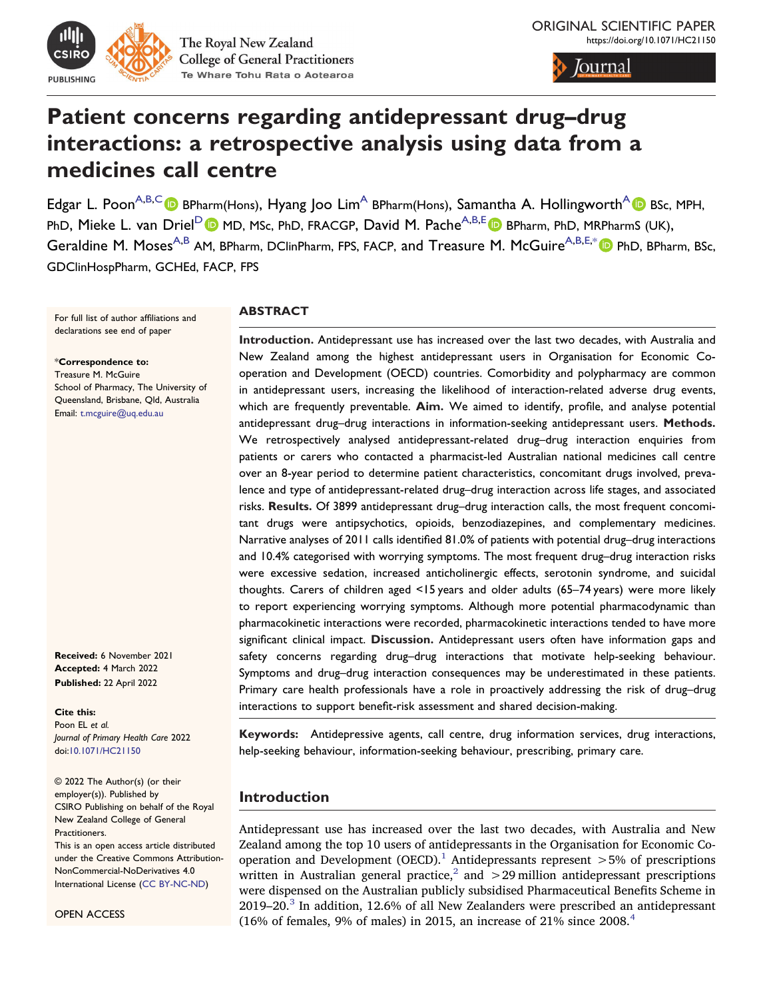

The Royal New Zealand **College of General Practitioners** Te Whare Tohu Rata o Aotearoa

/ournal

# **Patient concerns regarding antidepressant drug–drug interactions: a retrospective analysis using data from a medicines call centre**

<span id="page-1-3"></span><span id="page-1-2"></span><span id="page-1-1"></span>Edgar L. Poon<sup>[A,](#page-10-0)[B,](#page-10-1)[C](#page-10-2)</sup> BPharm(Hons), Hyang Joo Lim<sup>A</sup> BPharm(Hons), Samantha A. Hollingworth<sup>A</sup> BSc, MPH, Ph[D](#page-10-3), Mieke L. van Driel<sup>D</sup> (D MD, MSc, PhD, FRACGP, David M. Pache<sup>A[,B](#page-10-1)[,E](#page-10-4)</sup> D BPharm, PhD, MRPharmS (UK), Geraldine M. Moses<sup>A[,B](#page-10-1)</sup> AM, [B](#page-10-1)Pharm, DClinPharm, FPS, FACP, and Treasure M. McGuire<sup>A,B[,E,](#page-10-4)[\\*](#page-1-0)</sup> PhD, BPharm, BSc, GDClinHospPharm, GCHEd, FACP, FPS

For full list of author affiliations and declarations see end of paper

<span id="page-1-0"></span>[\\*](#page-1-1)**Correspondence to:** Treasure M. McGuire School of Pharmacy, The University of Queensland, Brisbane, Qld, Australia Email: [t.mcguire@uq.edu.au](mailto:t.mcguire@uq.edu.au)

**Received:** 6 November 2021 **Accepted:** 4 March 2022 **Published:** 22 April 2022

**Cite this:**  Poon EL *et al. Journal of Primary Health Care* 2022 doi:[10.1071/HC21150](https://doi.org/10.1071/HC21150) 

© 2022 The Author(s) (or their employer(s)). Published by CSIRO Publishing on behalf of the Royal New Zealand College of General Practitioners.

This is an open access article distributed under the Creative Commons Attribution-NonCommercial-NoDerivatives 4.0 International License ([CC BY-NC-ND](https://creativecommons.org/licenses/by-nc-nd/4.0/))

OPEN ACCESS

#### **ABSTRACT**

**Introduction.** Antidepressant use has increased over the last two decades, with Australia and New Zealand among the highest antidepressant users in Organisation for Economic Cooperation and Development (OECD) countries. Comorbidity and polypharmacy are common in antidepressant users, increasing the likelihood of interaction-related adverse drug events, which are frequently preventable. **Aim.** We aimed to identify, profile, and analyse potential antidepressant drug–drug interactions in information-seeking antidepressant users. **Methods.**  We retrospectively analysed antidepressant-related drug–drug interaction enquiries from patients or carers who contacted a pharmacist-led Australian national medicines call centre over an 8-year period to determine patient characteristics, concomitant drugs involved, prevalence and type of antidepressant-related drug–drug interaction across life stages, and associated risks. **Results.** Of 3899 antidepressant drug–drug interaction calls, the most frequent concomitant drugs were antipsychotics, opioids, benzodiazepines, and complementary medicines. Narrative analyses of 2011 calls identified 81.0% of patients with potential drug–drug interactions and 10.4% categorised with worrying symptoms. The most frequent drug–drug interaction risks were excessive sedation, increased anticholinergic effects, serotonin syndrome, and suicidal thoughts. Carers of children aged <15 years and older adults (65–74 years) were more likely to report experiencing worrying symptoms. Although more potential pharmacodynamic than pharmacokinetic interactions were recorded, pharmacokinetic interactions tended to have more significant clinical impact. **Discussion.** Antidepressant users often have information gaps and safety concerns regarding drug–drug interactions that motivate help-seeking behaviour. Symptoms and drug–drug interaction consequences may be underestimated in these patients. Primary care health professionals have a role in proactively addressing the risk of drug–drug interactions to support benefit-risk assessment and shared decision-making.

**Keywords:** Antidepressive agents, call centre, drug information services, drug interactions, help-seeking behaviour, information-seeking behaviour, prescribing, primary care.

# **Introduction**

Antidepressant use has increased over the last two decades, with Australia and New Zealand among the top 10 users of antidepressants in the Organisation for Economic Co-operation and Development (OECD).<sup>[1](#page-9-0)</sup> Antidepressants represent  $>5\%$  of prescriptions written in Australian general practice,<sup>2</sup> and  $>$  29 million antidepressant prescriptions were dispensed on the Australian publicly subsidised Pharmaceutical Benefits Scheme in  $2019-20.\n<sup>3</sup>$  $2019-20.\n<sup>3</sup>$  $2019-20.\n<sup>3</sup>$  In addition, 12.6% of all New Zealanders were prescribed an antidepressant (16% of females, 9% of males) in 2015, an increase of 21% since  $2008.<sup>4</sup>$  $2008.<sup>4</sup>$  $2008.<sup>4</sup>$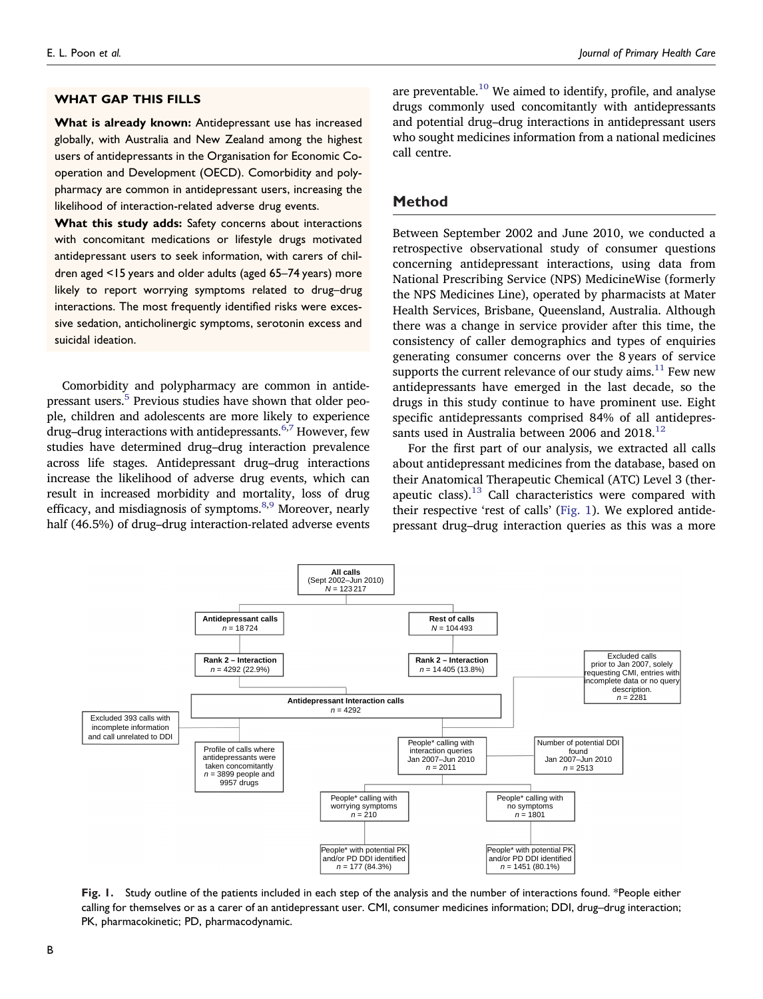#### **WHAT GAP THIS FILLS**

**What is already known:** Antidepressant use has increased globally, with Australia and New Zealand among the highest users of antidepressants in the Organisation for Economic Cooperation and Development (OECD). Comorbidity and polypharmacy are common in antidepressant users, increasing the likelihood of interaction-related adverse drug events.

**What this study adds:** Safety concerns about interactions with concomitant medications or lifestyle drugs motivated antidepressant users to seek information, with carers of children aged <15 years and older adults (aged 65–74 years) more likely to report worrying symptoms related to drug–drug interactions. The most frequently identified risks were excessive sedation, anticholinergic symptoms, serotonin excess and suicidal ideation.

Comorbidity and polypharmacy are common in antidepressant users[.5](#page-9-4) Previous studies have shown that older people, children and adolescents are more likely to experience drug–drug interactions with antidepressants. $6,7$  $6,7$  However, few studies have determined drug–drug interaction prevalence across life stages. Antidepressant drug–drug interactions increase the likelihood of adverse drug events, which can result in increased morbidity and mortality, loss of drug efficacy, and misdiagnosis of symptoms. $8,9$  Moreover, nearly half (46.5%) of drug–drug interaction-related adverse events are preventable.<sup>[10](#page-9-9)</sup> We aimed to identify, profile, and analyse drugs commonly used concomitantly with antidepressants and potential drug–drug interactions in antidepressant users who sought medicines information from a national medicines call centre.

#### **Method**

Between September 2002 and June 2010, we conducted a retrospective observational study of consumer questions concerning antidepressant interactions, using data from National Prescribing Service (NPS) MedicineWise (formerly the NPS Medicines Line), operated by pharmacists at Mater Health Services, Brisbane, Queensland, Australia. Although there was a change in service provider after this time, the consistency of caller demographics and types of enquiries generating consumer concerns over the 8 years of service supports the current relevance of our study aims. $^{11}$  Few new antidepressants have emerged in the last decade, so the drugs in this study continue to have prominent use. Eight specific antidepressants comprised 84% of all antidepressants used in Australia between 2006 and  $2018^{12}$ 

For the first part of our analysis, we extracted all calls about antidepressant medicines from the database, based on their Anatomical Therapeutic Chemical (ATC) Level 3 (therapeutic class). $13$  Call characteristics were compared with their respective 'rest of calls' [\(Fig. 1](#page-2-0)). We explored antidepressant drug–drug interaction queries as this was a more

<span id="page-2-0"></span>

**Fig. 1.** Study outline of the patients included in each step of the analysis and the number of interactions found. \*People either calling for themselves or as a carer of an antidepressant user. CMI, consumer medicines information; DDI, drug–drug interaction; PK, pharmacokinetic; PD, pharmacodynamic.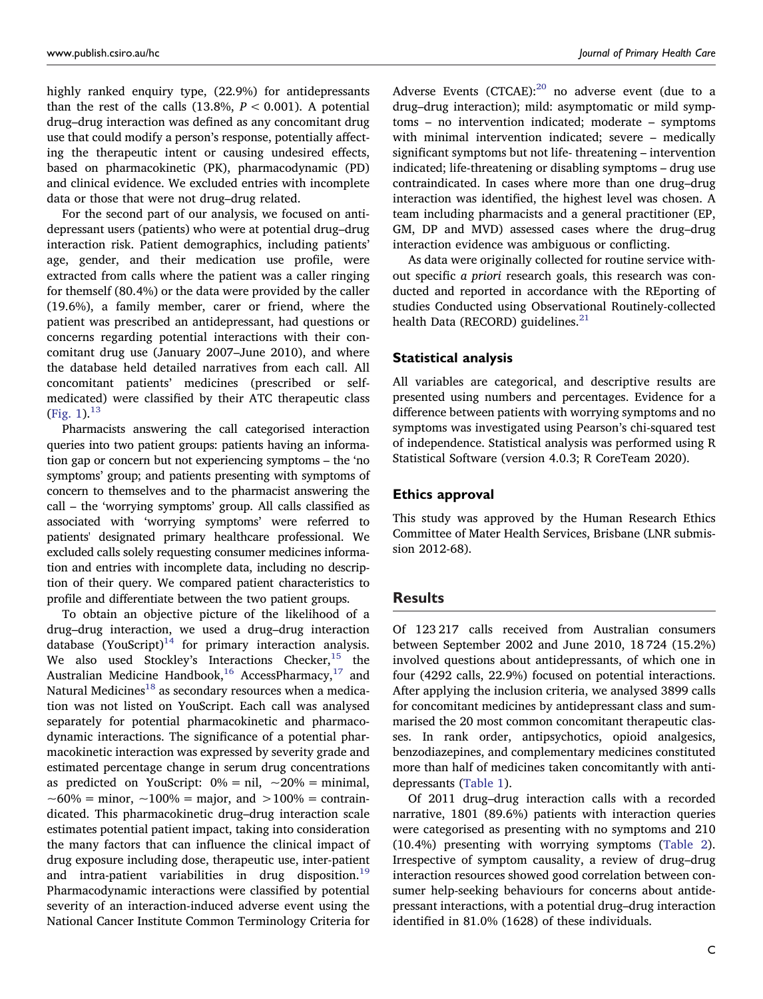highly ranked enquiry type, (22.9%) for antidepressants than the rest of the calls  $(13.8\%, P < 0.001)$ . A potential drug–drug interaction was defined as any concomitant drug use that could modify a person's response, potentially affecting the therapeutic intent or causing undesired effects, based on pharmacokinetic (PK), pharmacodynamic (PD) and clinical evidence. We excluded entries with incomplete data or those that were not drug–drug related.

For the second part of our analysis, we focused on antidepressant users (patients) who were at potential drug–drug interaction risk. Patient demographics, including patients' age, gender, and their medication use profile, were extracted from calls where the patient was a caller ringing for themself (80.4%) or the data were provided by the caller (19.6%), a family member, carer or friend, where the patient was prescribed an antidepressant, had questions or concerns regarding potential interactions with their concomitant drug use (January 2007–June 2010), and where the database held detailed narratives from each call. All concomitant patients' medicines (prescribed or selfmedicated) were classified by their ATC therapeutic class [\(Fig. 1](#page-2-0)). $^{13}$ 

Pharmacists answering the call categorised interaction queries into two patient groups: patients having an information gap or concern but not experiencing symptoms – the 'no symptoms' group; and patients presenting with symptoms of concern to themselves and to the pharmacist answering the call – the 'worrying symptoms' group. All calls classified as associated with 'worrying symptoms' were referred to patients' designated primary healthcare professional. We excluded calls solely requesting consumer medicines information and entries with incomplete data, including no description of their query. We compared patient characteristics to profile and differentiate between the two patient groups.

To obtain an objective picture of the likelihood of a drug–drug interaction, we used a drug–drug interaction database  $(YouScript)^{14}$  for primary interaction analysis. We also used Stockley's Interactions  $\text{Checker,}^{15}$  $\text{Checker,}^{15}$  $\text{Checker,}^{15}$  the Australian Medicine Handbook,<sup>16</sup> AccessPharmacy,<sup>17</sup> and Natural Medicines<sup>[18](#page-9-17)</sup> as secondary resources when a medication was not listed on YouScript. Each call was analysed separately for potential pharmacokinetic and pharmacodynamic interactions. The significance of a potential pharmacokinetic interaction was expressed by severity grade and estimated percentage change in serum drug concentrations as predicted on YouScript:  $0\% = \text{nil}, \sim 20\% = \text{minimal},$  $~100\% =$  minor,  $~100\% =$  major, and  $~100\% =$  contraindicated. This pharmacokinetic drug–drug interaction scale estimates potential patient impact, taking into consideration the many factors that can influence the clinical impact of drug exposure including dose, therapeutic use, inter-patient and intra-patient variabilities in drug disposition.<sup>19</sup> Pharmacodynamic interactions were classified by potential severity of an interaction-induced adverse event using the National Cancer Institute Common Terminology Criteria for

Adverse Events (CTCAE): $^{20}$  no adverse event (due to a drug–drug interaction); mild: asymptomatic or mild symptoms – no intervention indicated; moderate – symptoms with minimal intervention indicated; severe – medically significant symptoms but not life- threatening – intervention indicated; life-threatening or disabling symptoms – drug use contraindicated. In cases where more than one drug–drug interaction was identified, the highest level was chosen. A team including pharmacists and a general practitioner (EP, GM, DP and MVD) assessed cases where the drug–drug interaction evidence was ambiguous or conflicting.

As data were originally collected for routine service without specific *a priori* research goals, this research was conducted and reported in accordance with the REporting of studies Conducted using Observational Routinely-collected health Data (RECORD) guidelines. $^{21}$  $^{21}$  $^{21}$ 

### **Statistical analysis**

All variables are categorical, and descriptive results are presented using numbers and percentages. Evidence for a difference between patients with worrying symptoms and no symptoms was investigated using Pearson's chi-squared test of independence. Statistical analysis was performed using R Statistical Software (version 4.0.3; R CoreTeam 2020).

#### **Ethics approval**

This study was approved by the Human Research Ethics Committee of Mater Health Services, Brisbane (LNR submission 2012-68).

## **Results**

Of 123 217 calls received from Australian consumers between September 2002 and June 2010, 18 724 (15.2%) involved questions about antidepressants, of which one in four (4292 calls, 22.9%) focused on potential interactions. After applying the inclusion criteria, we analysed 3899 calls for concomitant medicines by antidepressant class and summarised the 20 most common concomitant therapeutic classes. In rank order, antipsychotics, opioid analgesics, benzodiazepines, and complementary medicines constituted more than half of medicines taken concomitantly with antidepressants ([Table 1\)](#page-4-0).

Of 2011 drug–drug interaction calls with a recorded narrative, 1801 (89.6%) patients with interaction queries were categorised as presenting with no symptoms and 210 (10.4%) presenting with worrying symptoms ([Table 2](#page-5-0)). Irrespective of symptom causality, a review of drug–drug interaction resources showed good correlation between consumer help-seeking behaviours for concerns about antidepressant interactions, with a potential drug–drug interaction identified in 81.0% (1628) of these individuals.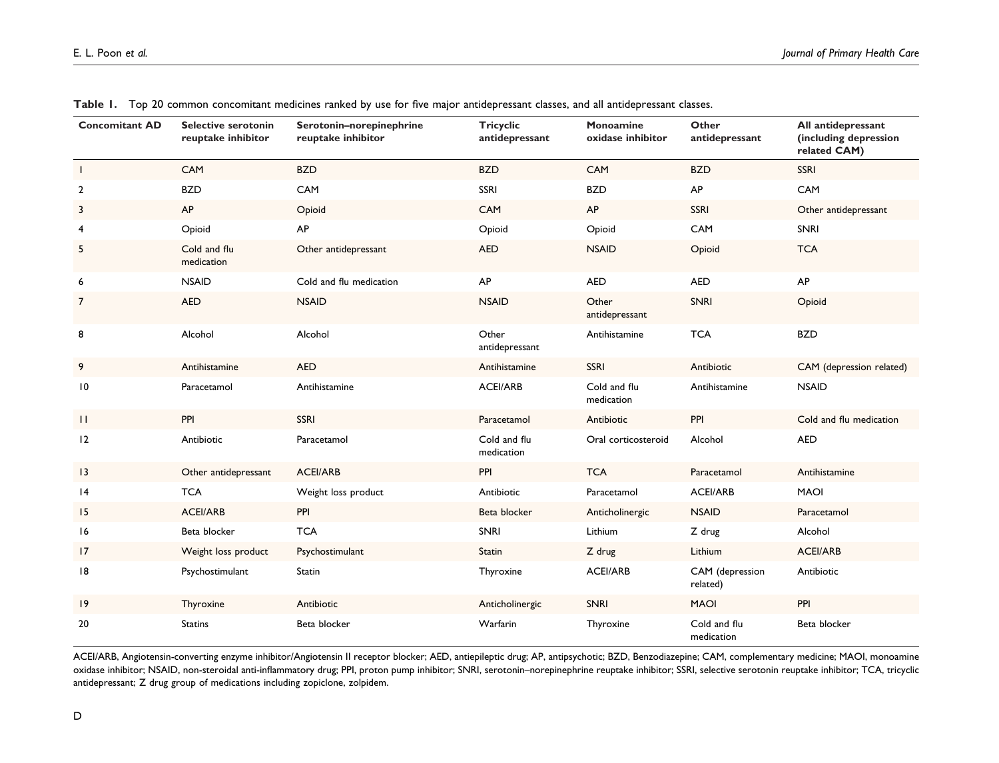| <b>Concomitant AD</b> | <b>Selective serotonin</b><br>reuptake inhibitor | Serotonin-norepinephrine<br>reuptake inhibitor | <b>Tricyclic</b><br>antidepressant | Monoamine<br>oxidase inhibitor | Other<br>antidepressant     | All antidepressant<br>(including depression<br>related CAM) |
|-----------------------|--------------------------------------------------|------------------------------------------------|------------------------------------|--------------------------------|-----------------------------|-------------------------------------------------------------|
| $\mathbf{I}$          | CAM                                              | <b>BZD</b>                                     | <b>BZD</b>                         | CAM                            | <b>BZD</b>                  | SSRI                                                        |
| $\overline{2}$        | <b>BZD</b>                                       | CAM                                            | <b>SSRI</b>                        | <b>BZD</b>                     | AP                          | CAM                                                         |
| 3                     | AP                                               | Opioid                                         | CAM                                | AP                             | SSRI                        | Other antidepressant                                        |
| $\overline{4}$        | Opioid                                           | AP                                             | Opioid                             | Opioid                         | CAM                         | <b>SNRI</b>                                                 |
| 5                     | Cold and flu<br>medication                       | Other antidepressant                           | <b>AED</b>                         | <b>NSAID</b>                   | Opioid                      | <b>TCA</b>                                                  |
| 6                     | <b>NSAID</b>                                     | Cold and flu medication                        | AP                                 | <b>AED</b>                     | <b>AED</b>                  | AP                                                          |
| 7                     | <b>AED</b>                                       | <b>NSAID</b>                                   | <b>NSAID</b>                       | Other<br>antidepressant        | <b>SNRI</b>                 | Opioid                                                      |
| 8                     | Alcohol                                          | Alcohol                                        | Other<br>antidepressant            | Antihistamine                  | <b>TCA</b>                  | <b>BZD</b>                                                  |
| 9                     | Antihistamine                                    | <b>AED</b>                                     | Antihistamine                      | SSRI                           | Antibiotic                  | CAM (depression related)                                    |
| 10                    | Paracetamol                                      | Antihistamine                                  | <b>ACEI/ARB</b>                    | Cold and flu<br>medication     | Antihistamine               | <b>NSAID</b>                                                |
| $\mathbf{H}$          | PPI                                              | <b>SSRI</b>                                    | Paracetamol                        | Antibiotic                     | PPI                         | Cold and flu medication                                     |
| 12                    | Antibiotic                                       | Paracetamol                                    | Cold and flu<br>medication         | Oral corticosteroid            | Alcohol                     | <b>AED</b>                                                  |
| 13                    | Other antidepressant                             | <b>ACEI/ARB</b>                                | PPI                                | <b>TCA</b>                     | Paracetamol                 | Antihistamine                                               |
| 4                     | <b>TCA</b>                                       | Weight loss product                            | Antibiotic                         | Paracetamol                    | <b>ACEI/ARB</b>             | <b>MAOI</b>                                                 |
| 15                    | <b>ACEI/ARB</b>                                  | PPI                                            | Beta blocker                       | Anticholinergic                | <b>NSAID</b>                | Paracetamol                                                 |
| 16                    | Beta blocker                                     | <b>TCA</b>                                     | SNRI                               | Lithium                        | Z drug                      | Alcohol                                                     |
| 17                    | Weight loss product                              | Psychostimulant                                | Statin                             | Z drug                         | Lithium                     | <b>ACEI/ARB</b>                                             |
| 18                    | Psychostimulant                                  | Statin                                         | Thyroxine                          | <b>ACEI/ARB</b>                | CAM (depression<br>related) | Antibiotic                                                  |
| 19                    | Thyroxine                                        | Antibiotic                                     | Anticholinergic                    | <b>SNRI</b>                    | <b>MAOI</b>                 | PPI                                                         |
| 20                    | <b>Statins</b>                                   | Beta blocker                                   | Warfarin                           | Thyroxine                      | Cold and flu<br>medication  | Beta blocker                                                |

<span id="page-4-0"></span>**Table 1.** Top 20 common concomitant medicines ranked by use for five major antidepressant classes, and all antidepressant classes.

ACEI/ARB, Angiotensin-converting enzyme inhibitor/Angiotensin II receptor blocker; AED, antiepileptic drug; AP, antipsychotic; BZD, Benzodiazepine; CAM, complementary medicine; MAOI, monoamine oxidase inhibitor; NSAID, non-steroidal anti-inflammatory drug; PPI, proton pump inhibitor; SNRI, serotonin–norepinephrine reuptake inhibitor; SSRI, selective serotonin reuptake inhibitor; TCA, tricyclic antidepressant; Z drug group of medications including zopiclone, zolpidem.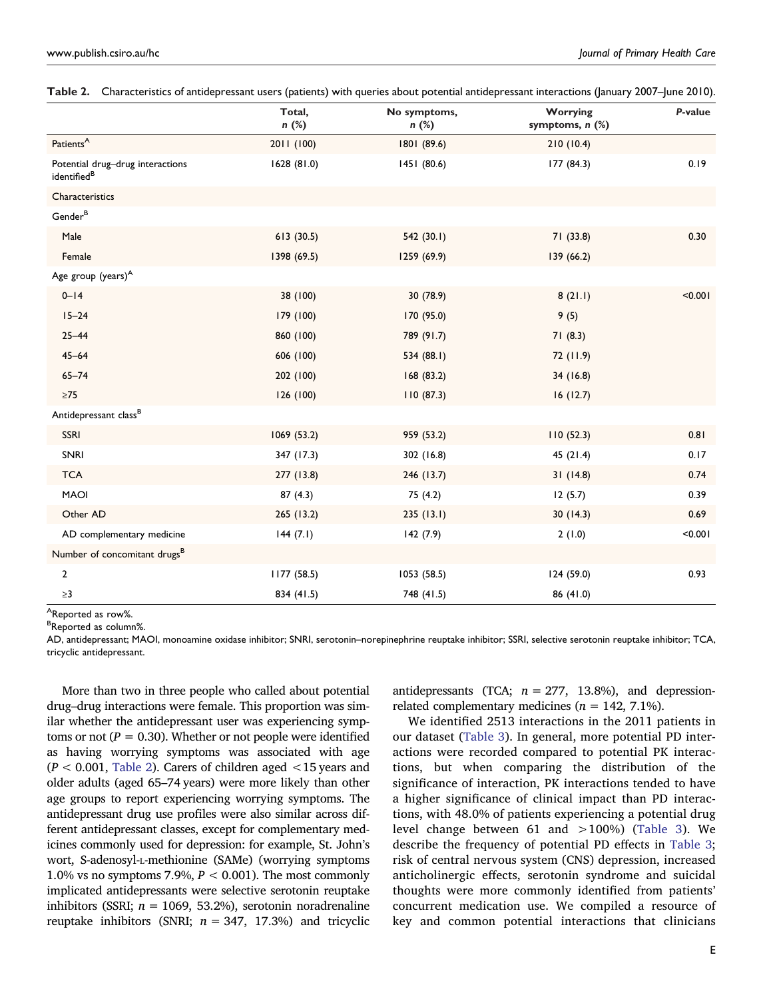|                                                             | Total,<br>n (%) | No symptoms,<br>n (%) | Worrying<br>symptoms, n (%) | P-value |
|-------------------------------------------------------------|-----------------|-----------------------|-----------------------------|---------|
| Patients <sup>A</sup>                                       | 2011 (100)      | 1801 (89.6)           | 210(10.4)                   |         |
| Potential drug-drug interactions<br>identified <sup>B</sup> | 1628 (81.0)     | 1451 (80.6)           | 177 (84.3)                  | 0.19    |
| Characteristics                                             |                 |                       |                             |         |
| Gender <sup>B</sup>                                         |                 |                       |                             |         |
| Male                                                        | 613(30.5)       | 542(30.1)             | 71(33.8)                    | 0.30    |
| Female                                                      | 1398 (69.5)     | 1259 (69.9)           | 139 (66.2)                  |         |
| Age group (years) <sup>A</sup>                              |                 |                       |                             |         |
| $0 - 14$                                                    | 38 (100)        | 30 (78.9)             | 8(21.1)                     | < 0.001 |
| $15 - 24$                                                   | 179 (100)       | 170 (95.0)            | 9(5)                        |         |
| $25 - 44$                                                   | 860 (100)       | 789 (91.7)            | 71(8.3)                     |         |
| $45 - 64$                                                   | 606 (100)       | 534 (88.1)            | 72 (11.9)                   |         |
| $65 - 74$                                                   | 202 (100)       | 168(83.2)             | 34 (16.8)                   |         |
| $\geq 75$                                                   | 126(100)        | 110(87.3)             | 16(12.7)                    |         |
| Antidepressant class <sup>B</sup>                           |                 |                       |                             |         |
| <b>SSRI</b>                                                 | 1069 (53.2)     | 959 (53.2)            | 110(52.3)                   | 0.81    |
| SNRI                                                        | 347 (17.3)      | 302 (16.8)            | 45(21.4)                    | 0.17    |
| <b>TCA</b>                                                  | 277 (13.8)      | 246 (13.7)            | 31(14.8)                    | 0.74    |
| <b>MAOI</b>                                                 | 87(4.3)         | 75 (4.2)              | 12(5.7)                     | 0.39    |
| Other AD                                                    | 265 (13.2)      | 235(13.1)             | 30(14.3)                    | 0.69    |
| AD complementary medicine                                   | 144(7.1)        | 142(7.9)              | 2(1.0)                      | < 0.001 |
| Number of concomitant drugs <sup>B</sup>                    |                 |                       |                             |         |
| $\mathbf{2}$                                                | 1177(58.5)      | 1053(58.5)            | 124(59.0)                   | 0.93    |
| $\geq$ 3                                                    | 834 (41.5)      | 748 (41.5)            | 86 (41.0)                   |         |

<span id="page-5-0"></span>

|  | Table 2. Characteristics of antidepressant users (patients) with queries about potential antidepressant interactions (January 2007-June 2010). |  |  |  |  |
|--|------------------------------------------------------------------------------------------------------------------------------------------------|--|--|--|--|
|--|------------------------------------------------------------------------------------------------------------------------------------------------|--|--|--|--|

AReported as row%.

Reported as column%.

AD, antidepressant; MAOI, monoamine oxidase inhibitor; SNRI, serotonin–norepinephrine reuptake inhibitor; SSRI, selective serotonin reuptake inhibitor; TCA, tricyclic antidepressant.

More than two in three people who called about potential drug–drug interactions were female. This proportion was similar whether the antidepressant user was experiencing symptoms or not  $(P = 0.30)$ . Whether or not people were identified as having worrying symptoms was associated with age (*P* < 0.001, [Table 2\)](#page-5-0). Carers of children aged <15 years and older adults (aged 65–74 years) were more likely than other age groups to report experiencing worrying symptoms. The antidepressant drug use profiles were also similar across different antidepressant classes, except for complementary medicines commonly used for depression: for example, St. John's wort, S-adenosyl-L-methionine (SAMe) (worrying symptoms 1.0% vs no symptoms 7.9%, *P* < 0.001). The most commonly implicated antidepressants were selective serotonin reuptake inhibitors (SSRI;  $n = 1069, 53.2\%)$ , serotonin noradrenaline reuptake inhibitors (SNRI;  $n = 347, 17.3%$ ) and tricyclic

antidepressants (TCA;  $n = 277$ , 13.8%), and depressionrelated complementary medicines (*n* = 142, 7.1%).

We identified 2513 interactions in the 2011 patients in our dataset ([Table 3](#page-6-0)). In general, more potential PD interactions were recorded compared to potential PK interactions, but when comparing the distribution of the significance of interaction, PK interactions tended to have a higher significance of clinical impact than PD interactions, with 48.0% of patients experiencing a potential drug level change between 61 and >100%) [\(Table 3\)](#page-6-0). We describe the frequency of potential PD effects in [Table 3;](#page-6-0) risk of central nervous system (CNS) depression, increased anticholinergic effects, serotonin syndrome and suicidal thoughts were more commonly identified from patients' concurrent medication use. We compiled a resource of key and common potential interactions that clinicians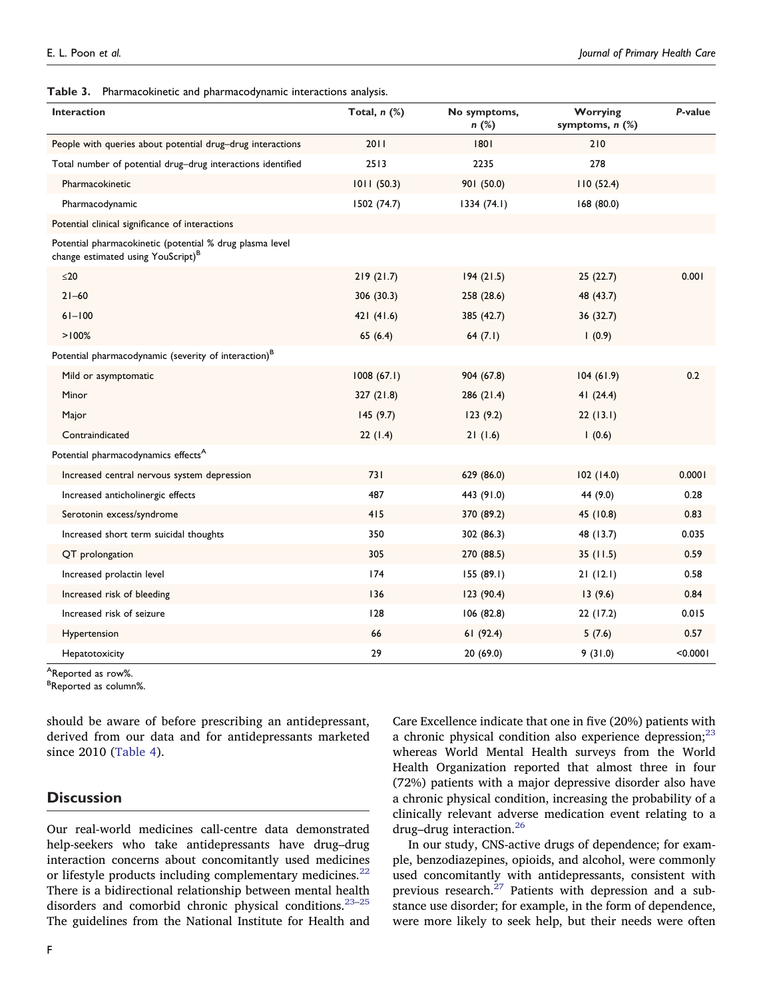<span id="page-6-0"></span>**Table 3.** Pharmacokinetic and pharmacodynamic interactions analysis.

| <b>Interaction</b>                                                                                         | Total, $n$ $%$ | No symptoms,<br>$n$ (%) | Worrying<br>symptoms, $n$ $(\%)$ | P-value  |
|------------------------------------------------------------------------------------------------------------|----------------|-------------------------|----------------------------------|----------|
| People with queries about potential drug-drug interactions                                                 | 2011           | 1801                    | 210                              |          |
| Total number of potential drug-drug interactions identified                                                | 2513           | 2235                    | 278                              |          |
| Pharmacokinetic                                                                                            | 1011(50.3)     | 901 (50.0)              | 110(52.4)                        |          |
| Pharmacodynamic                                                                                            | 1502 (74.7)    | 1334(74.1)              | 168 (80.0)                       |          |
| Potential clinical significance of interactions                                                            |                |                         |                                  |          |
| Potential pharmacokinetic (potential % drug plasma level<br>change estimated using YouScript) <sup>B</sup> |                |                         |                                  |          |
| $\leq$ 20                                                                                                  | 219(21.7)      | 194(21.5)               | 25(22.7)                         | 0.001    |
| $21 - 60$                                                                                                  | 306 (30.3)     | 258 (28.6)              | 48 (43.7)                        |          |
| $61 - 100$                                                                                                 | 421(41.6)      | 385 (42.7)              | 36(32.7)                         |          |
| >100%                                                                                                      | 65(6.4)        | 64 $(7.1)$              | 1(0.9)                           |          |
| Potential pharmacodynamic (severity of interaction) <sup>B</sup>                                           |                |                         |                                  |          |
| Mild or asymptomatic                                                                                       | 1008(67.1)     | 904 (67.8)              | 104(61.9)                        | 0.2      |
| Minor                                                                                                      | 327 (21.8)     | 286 (21.4)              | 41(24.4)                         |          |
| Major                                                                                                      | 145(9.7)       | 123(9.2)                | 22(13.1)                         |          |
| Contraindicated                                                                                            | 22(1.4)        | 21(1.6)                 | 1(0.6)                           |          |
| Potential pharmacodynamics effects <sup>A</sup>                                                            |                |                         |                                  |          |
| Increased central nervous system depression                                                                | 731            | 629 (86.0)              | 102 (14.0)                       | 0.0001   |
| Increased anticholinergic effects                                                                          | 487            | 443 (91.0)              | 44 (9.0)                         | 0.28     |
| Serotonin excess/syndrome                                                                                  | 415            | 370 (89.2)              | 45 (10.8)                        | 0.83     |
| Increased short term suicidal thoughts                                                                     | 350            | 302 (86.3)              | 48 (13.7)                        | 0.035    |
| QT prolongation                                                                                            | 305            | 270 (88.5)              | 35(11.5)                         | 0.59     |
| Increased prolactin level                                                                                  | 174            | 155(89.1)               | 21(12.1)                         | 0.58     |
| Increased risk of bleeding                                                                                 | 136            | 123(90.4)               | 13(9.6)                          | 0.84     |
| Increased risk of seizure                                                                                  | 128            | 106 (82.8)              | 22 (17.2)                        | 0.015    |
| Hypertension                                                                                               | 66             | 61(92.4)                | 5(7.6)                           | 0.57     |
| Hepatotoxicity                                                                                             | 29             | 20 (69.0)               | 9(31.0)                          | < 0.0001 |

AReported as row%.

Reported as column%.

should be aware of before prescribing an antidepressant, derived from our data and for antidepressants marketed since 2010 ([Table 4](#page-7-0)).

#### **Discussion**

Our real-world medicines call-centre data demonstrated help-seekers who take antidepressants have drug–drug interaction concerns about concomitantly used medicines or lifestyle products including complementary medicines.<sup>22</sup> There is a bidirectional relationship between mental health disorders and comorbid chronic physical conditions.<sup>23-25</sup> The guidelines from the National Institute for Health and

Care Excellence indicate that one in five (20%) patients with a chronic physical condition also experience depression; $^{23}$ whereas World Mental Health surveys from the World Health Organization reported that almost three in four (72%) patients with a major depressive disorder also have a chronic physical condition, increasing the probability of a clinically relevant adverse medication event relating to a drug–drug interaction.[26](#page-9-24) 

In our study, CNS-active drugs of dependence; for example, benzodiazepines, opioids, and alcohol, were commonly used concomitantly with antidepressants, consistent with previous research.<sup>[27](#page-9-25)</sup> Patients with depression and a substance use disorder; for example, in the form of dependence, were more likely to seek help, but their needs were often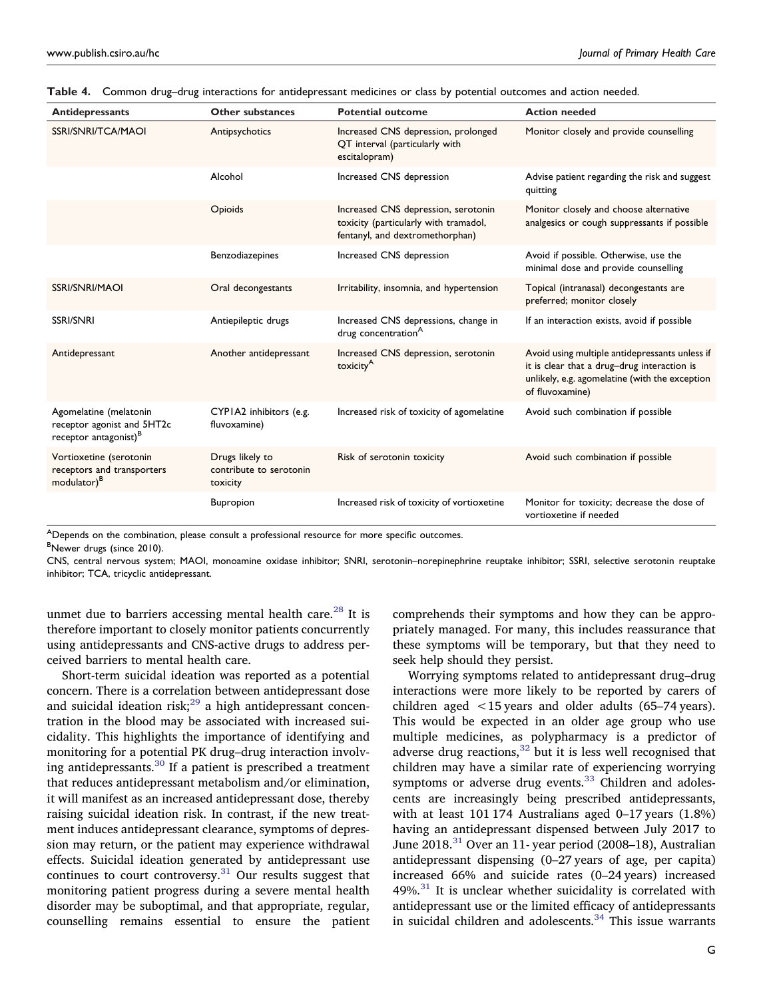| <b>Antidepressants</b>                                                                    | Other substances                                       | <b>Potential outcome</b>                                                                                        | <b>Action needed</b>                                                                                                                                               |
|-------------------------------------------------------------------------------------------|--------------------------------------------------------|-----------------------------------------------------------------------------------------------------------------|--------------------------------------------------------------------------------------------------------------------------------------------------------------------|
| SSRI/SNRI/TCA/MAOI                                                                        | Antipsychotics                                         | Increased CNS depression, prolonged<br>QT interval (particularly with<br>escitalopram)                          | Monitor closely and provide counselling                                                                                                                            |
|                                                                                           | Alcohol                                                | Increased CNS depression                                                                                        | Advise patient regarding the risk and suggest<br>quitting                                                                                                          |
|                                                                                           | Opioids                                                | Increased CNS depression, serotonin<br>toxicity (particularly with tramadol,<br>fentanyl, and dextromethorphan) | Monitor closely and choose alternative<br>analgesics or cough suppressants if possible                                                                             |
|                                                                                           | Benzodiazepines                                        | Increased CNS depression                                                                                        | Avoid if possible. Otherwise, use the<br>minimal dose and provide counselling                                                                                      |
| <b>SSRI/SNRI/MAOI</b>                                                                     | Oral decongestants                                     | Irritability, insomnia, and hypertension                                                                        | Topical (intranasal) decongestants are<br>preferred; monitor closely                                                                                               |
| <b>SSRI/SNRI</b>                                                                          | Antiepileptic drugs                                    | Increased CNS depressions, change in<br>drug concentration <sup>A</sup>                                         | If an interaction exists, avoid if possible                                                                                                                        |
| Antidepressant                                                                            | Another antidepressant                                 | Increased CNS depression, serotonin<br>toxicity <sup>A</sup>                                                    | Avoid using multiple antidepressants unless if<br>it is clear that a drug-drug interaction is<br>unlikely, e.g. agomelatine (with the exception<br>of fluvoxamine) |
| Agomelatine (melatonin<br>receptor agonist and 5HT2c<br>receptor antagonist) <sup>B</sup> | CYPIA2 inhibitors (e.g.<br>fluvoxamine)                | Increased risk of toxicity of agomelatine                                                                       | Avoid such combination if possible                                                                                                                                 |
| Vortioxetine (serotonin<br>receptors and transporters<br>modulator) <sup>B</sup>          | Drugs likely to<br>contribute to serotonin<br>toxicity | Risk of serotonin toxicity                                                                                      | Avoid such combination if possible                                                                                                                                 |
|                                                                                           | Bupropion                                              | Increased risk of toxicity of vortioxetine                                                                      | Monitor for toxicity; decrease the dose of<br>vortioxetine if needed                                                                                               |

<span id="page-7-0"></span>

|  |  |  |  |  |  |  |  | Table 4. Common drug-drug interactions for antidepressant medicines or class by potential outcomes and action needed. |  |
|--|--|--|--|--|--|--|--|-----------------------------------------------------------------------------------------------------------------------|--|
|--|--|--|--|--|--|--|--|-----------------------------------------------------------------------------------------------------------------------|--|

ADepends on the combination, please consult a professional resource for more specific outcomes.<br><sup>B</sup>Newer drugs (since 2010)

<sup>B</sup>Newer drugs (since 2010).

CNS, central nervous system; MAOI, monoamine oxidase inhibitor; SNRI, serotonin–norepinephrine reuptake inhibitor; SSRI, selective serotonin reuptake inhibitor; TCA, tricyclic antidepressant.

unmet due to barriers accessing mental health care.<sup>28</sup> It is therefore important to closely monitor patients concurrently using antidepressants and CNS-active drugs to address perceived barriers to mental health care.

Short-term suicidal ideation was reported as a potential concern. There is a correlation between antidepressant dose and suicidal ideation risk; $^{29}$  a high antidepressant concentration in the blood may be associated with increased suicidality. This highlights the importance of identifying and monitoring for a potential PK drug–drug interaction involving antidepressants.[30](#page-9-28) If a patient is prescribed a treatment that reduces antidepressant metabolism and/or elimination, it will manifest as an increased antidepressant dose, thereby raising suicidal ideation risk. In contrast, if the new treatment induces antidepressant clearance, symptoms of depression may return, or the patient may experience withdrawal effects. Suicidal ideation generated by antidepressant use continues to court controversy. $31$  Our results suggest that monitoring patient progress during a severe mental health disorder may be suboptimal, and that appropriate, regular, counselling remains essential to ensure the patient

comprehends their symptoms and how they can be appropriately managed. For many, this includes reassurance that these symptoms will be temporary, but that they need to seek help should they persist.

Worrying symptoms related to antidepressant drug–drug interactions were more likely to be reported by carers of children aged <15 years and older adults (65–74 years). This would be expected in an older age group who use multiple medicines, as polypharmacy is a predictor of adverse drug reactions,  $32$  but it is less well recognised that children may have a similar rate of experiencing worrying symptoms or adverse drug events.<sup>[33](#page-9-31)</sup> Children and adolescents are increasingly being prescribed antidepressants, with at least 101 174 Australians aged 0–17 years (1.8%) having an antidepressant dispensed between July 2017 to June 2018.<sup>[31](#page-9-29)</sup> Over an 11- year period (2008–18), Australian antidepressant dispensing (0–27 years of age, per capita) increased 66% and suicide rates (0–24 years) increased 49%.[31](#page-9-29) It is unclear whether suicidality is correlated with antidepressant use or the limited efficacy of antidepressants in suicidal children and adolescents.<sup>34</sup> This issue warrants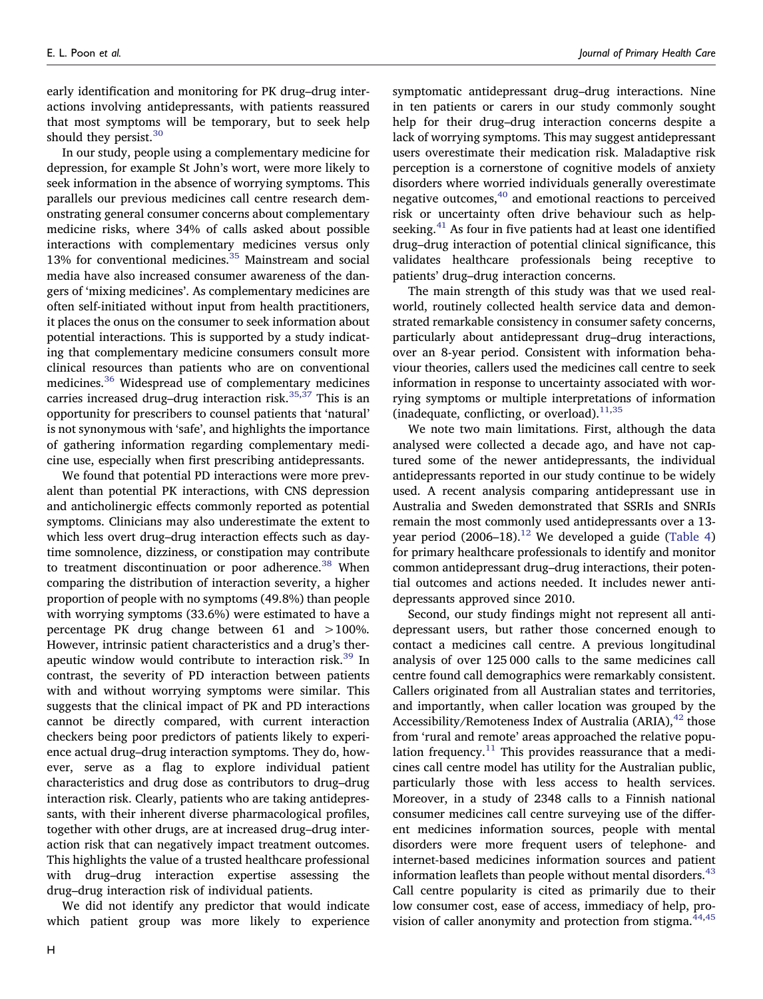early identification and monitoring for PK drug–drug interactions involving antidepressants, with patients reassured that most symptoms will be temporary, but to seek help should they persist.<sup>[30](#page-9-28)</sup>

In our study, people using a complementary medicine for depression, for example St John's wort, were more likely to seek information in the absence of worrying symptoms. This parallels our previous medicines call centre research demonstrating general consumer concerns about complementary medicine risks, where 34% of calls asked about possible interactions with complementary medicines versus only 13% for conventional medicines. $35$  Mainstream and social media have also increased consumer awareness of the dangers of 'mixing medicines'. As complementary medicines are often self-initiated without input from health practitioners, it places the onus on the consumer to seek information about potential interactions. This is supported by a study indicating that complementary medicine consumers consult more clinical resources than patients who are on conventional medicines[.36](#page-10-6) Widespread use of complementary medicines carries increased drug-drug interaction risk.<sup>[35,](#page-10-5)37</sup> This is an opportunity for prescribers to counsel patients that 'natural' is not synonymous with 'safe', and highlights the importance of gathering information regarding complementary medicine use, especially when first prescribing antidepressants.

We found that potential PD interactions were more prevalent than potential PK interactions, with CNS depression and anticholinergic effects commonly reported as potential symptoms. Clinicians may also underestimate the extent to which less overt drug–drug interaction effects such as daytime somnolence, dizziness, or constipation may contribute to treatment discontinuation or poor adherence.<sup>[38](#page-10-8)</sup> When comparing the distribution of interaction severity, a higher proportion of people with no symptoms (49.8%) than people with worrying symptoms (33.6%) were estimated to have a percentage PK drug change between 61 and >100%. However, intrinsic patient characteristics and a drug's therapeutic window would contribute to interaction risk.<sup>39</sup> In contrast, the severity of PD interaction between patients with and without worrying symptoms were similar. This suggests that the clinical impact of PK and PD interactions cannot be directly compared, with current interaction checkers being poor predictors of patients likely to experience actual drug–drug interaction symptoms. They do, however, serve as a flag to explore individual patient characteristics and drug dose as contributors to drug–drug interaction risk. Clearly, patients who are taking antidepressants, with their inherent diverse pharmacological profiles, together with other drugs, are at increased drug–drug interaction risk that can negatively impact treatment outcomes. This highlights the value of a trusted healthcare professional with drug–drug interaction expertise assessing the drug–drug interaction risk of individual patients.

We did not identify any predictor that would indicate which patient group was more likely to experience

H

symptomatic antidepressant drug–drug interactions. Nine in ten patients or carers in our study commonly sought help for their drug–drug interaction concerns despite a lack of worrying symptoms. This may suggest antidepressant users overestimate their medication risk. Maladaptive risk perception is a cornerstone of cognitive models of anxiety disorders where worried individuals generally overestimate negative outcomes,<sup>[40](#page-10-10)</sup> and emotional reactions to perceived risk or uncertainty often drive behaviour such as helpseeking. $41$  As four in five patients had at least one identified drug–drug interaction of potential clinical significance, this validates healthcare professionals being receptive to patients' drug–drug interaction concerns.

The main strength of this study was that we used realworld, routinely collected health service data and demonstrated remarkable consistency in consumer safety concerns, particularly about antidepressant drug–drug interactions, over an 8-year period. Consistent with information behaviour theories, callers used the medicines call centre to seek information in response to uncertainty associated with worrying symptoms or multiple interpretations of information (inadequate, conflicting, or overload).<sup>11[,35](#page-10-5)</sup>

We note two main limitations. First, although the data analysed were collected a decade ago, and have not captured some of the newer antidepressants, the individual antidepressants reported in our study continue to be widely used. A recent analysis comparing antidepressant use in Australia and Sweden demonstrated that SSRIs and SNRIs remain the most commonly used antidepressants over a 13 year period  $(2006-18).$ <sup>[12](#page-9-11)</sup> We developed a guide [\(Table 4](#page-7-0)) for primary healthcare professionals to identify and monitor common antidepressant drug–drug interactions, their potential outcomes and actions needed. It includes newer antidepressants approved since 2010.

Second, our study findings might not represent all antidepressant users, but rather those concerned enough to contact a medicines call centre. A previous longitudinal analysis of over 125 000 calls to the same medicines call centre found call demographics were remarkably consistent. Callers originated from all Australian states and territories, and importantly, when caller location was grouped by the Accessibility/Remoteness Index of Australia (ARIA), $42$  those from 'rural and remote' areas approached the relative population frequency. $11$  This provides reassurance that a medicines call centre model has utility for the Australian public, particularly those with less access to health services. Moreover, in a study of 2348 calls to a Finnish national consumer medicines call centre surveying use of the different medicines information sources, people with mental disorders were more frequent users of telephone- and internet-based medicines information sources and patient information leaflets than people without mental disorders.  $43$ Call centre popularity is cited as primarily due to their low consumer cost, ease of access, immediacy of help, pro-vision of caller anonymity and protection from stigma.<sup>[44,](#page-10-14)45</sup>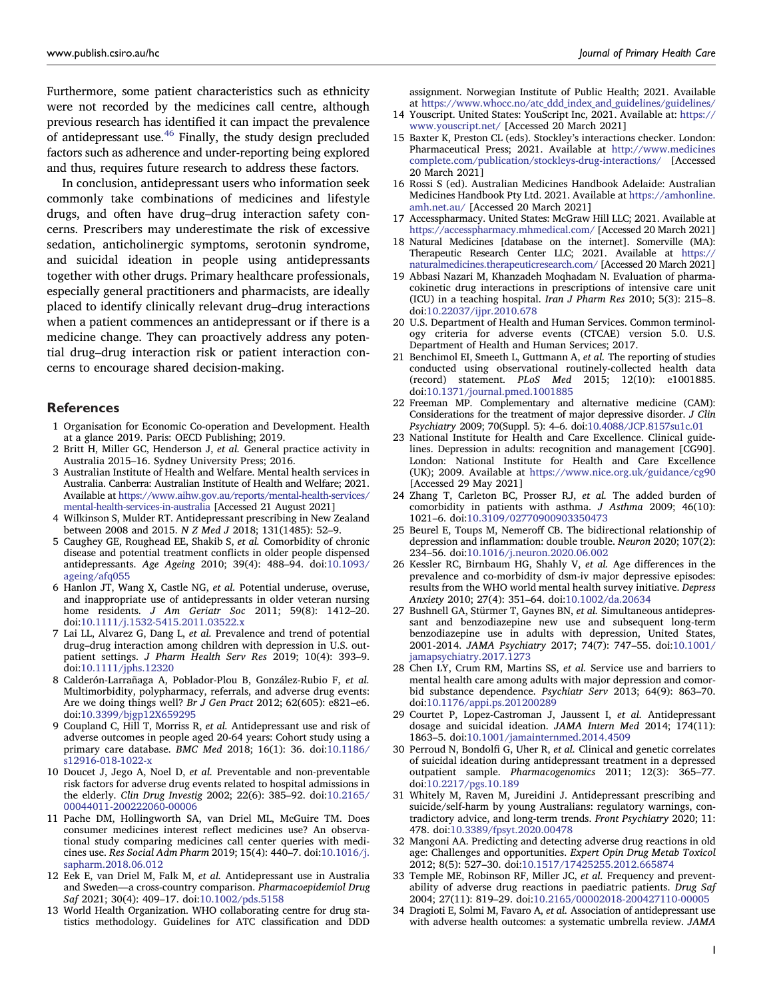Furthermore, some patient characteristics such as ethnicity were not recorded by the medicines call centre, although previous research has identified it can impact the prevalence of antidepressant use[.46](#page-10-16) Finally, the study design precluded factors such as adherence and under-reporting being explored and thus, requires future research to address these factors.

In conclusion, antidepressant users who information seek commonly take combinations of medicines and lifestyle drugs, and often have drug–drug interaction safety concerns. Prescribers may underestimate the risk of excessive sedation, anticholinergic symptoms, serotonin syndrome, and suicidal ideation in people using antidepressants together with other drugs. Primary healthcare professionals, especially general practitioners and pharmacists, are ideally placed to identify clinically relevant drug–drug interactions when a patient commences an antidepressant or if there is a medicine change. They can proactively address any potential drug–drug interaction risk or patient interaction concerns to encourage shared decision-making.

#### **References**

- <span id="page-9-0"></span>1 Organisation for Economic Co-operation and Development. Health at a glance 2019. Paris: OECD Publishing; 2019.
- <span id="page-9-1"></span>2 Britt H, Miller GC, Henderson J, *et al.* General practice activity in Australia 2015–16. Sydney University Press; 2016.
- <span id="page-9-2"></span>3 Australian Institute of Health and Welfare. Mental health services in Australia. Canberra: Australian Institute of Health and Welfare; 2021. Available at [https://www.aihw.gov.au/reports/mental-health-services/](https://www.aihw.gov.au/reports/mental-health-services/mental-health-services-in-australia) [mental-health-services-in-australia](https://www.aihw.gov.au/reports/mental-health-services/mental-health-services-in-australia) [Accessed 21 August 2021]
- <span id="page-9-3"></span>4 Wilkinson S, Mulder RT. Antidepressant prescribing in New Zealand between 2008 and 2015. *N Z Med J* 2018; 131(1485): 52–9.
- <span id="page-9-4"></span>5 Caughey GE, Roughead EE, Shakib S, *et al.* Comorbidity of chronic disease and potential treatment conflicts in older people dispensed antidepressants. *Age Ageing* 2010; 39(4): 488–94. doi[:10.1093/](https://doi.org/10.1093/ageing/afq055)  [ageing/afq055](https://doi.org/10.1093/ageing/afq055)
- <span id="page-9-5"></span>6 Hanlon JT, Wang X, Castle NG, *et al.* Potential underuse, overuse, and inappropriate use of antidepressants in older veteran nursing home residents. *J Am Geriatr Soc* 2011; 59(8): 1412–20. doi[:10.1111/j.1532-5415.2011.03522.x](https://doi.org/10.1111/j.1532-5415.2011.03522.x)
- <span id="page-9-6"></span>7 Lai LL, Alvarez G, Dang L, *et al.* Prevalence and trend of potential drug–drug interaction among children with depression in U.S. outpatient settings. *J Pharm Health Serv Res* 2019; 10(4): 393–9. doi[:10.1111/jphs.12320](https://doi.org/10.1111/jphs.12320)
- <span id="page-9-7"></span>8 Calderón-Larrañaga A, Poblador-Plou B, González-Rubio F, *et al.*  Multimorbidity, polypharmacy, referrals, and adverse drug events: Are we doing things well? *Br J Gen Pract* 2012; 62(605): e821–e6. doi[:10.3399/bjgp12X659295](https://doi.org/10.3399/bjgp12X659295)
- <span id="page-9-8"></span>9 Coupland C, Hill T, Morriss R, *et al.* Antidepressant use and risk of adverse outcomes in people aged 20-64 years: Cohort study using a primary care database. *BMC Med* 2018; 16(1): 36. doi[:10.1186/](https://doi.org/10.1186/s12916-018-1022-x)  [s12916-018-1022-x](https://doi.org/10.1186/s12916-018-1022-x)
- <span id="page-9-9"></span>10 Doucet J, Jego A, Noel D, *et al.* Preventable and non-preventable risk factors for adverse drug events related to hospital admissions in the elderly. *Clin Drug Investig* 2002; 22(6): 385–92. doi[:10.2165/](https://doi.org/10.2165/00044011-200222060-00006)  [00044011-200222060-00006](https://doi.org/10.2165/00044011-200222060-00006)
- <span id="page-9-10"></span>11 Pache DM, Hollingworth SA, van Driel ML, McGuire TM. Does consumer medicines interest reflect medicines use? An observational study comparing medicines call center queries with medicines use. *Res Social Adm Pharm* 2019; 15(4): 440–7. doi:[10.1016/j.](https://doi.org/10.1016/j.sapharm.2018.06.012)  [sapharm.2018.06.012](https://doi.org/10.1016/j.sapharm.2018.06.012)
- <span id="page-9-11"></span>12 Eek E, van Driel M, Falk M, *et al.* Antidepressant use in Australia and Sweden—a cross-country comparison. *Pharmacoepidemiol Drug Saf* 2021; 30(4): 409–17. doi[:10.1002/pds.5158](https://doi.org/10.1002/pds.5158)
- <span id="page-9-12"></span>13 World Health Organization. WHO collaborating centre for drug statistics methodology. Guidelines for ATC classification and DDD

assignment. Norwegian Institute of Public Health; 2021. Available at [https://www.whocc.no/atc\\_ddd\\_index\\_and\\_guidelines/guidelines/](https://www.whocc.no/atc_ddd_index_and_guidelines/guidelines/)

- <span id="page-9-13"></span>14 Youscript. United States: YouScript Inc, 2021. Available at: [https://](https://www.youscript.net/)  [www.youscript.net/](https://www.youscript.net/) [Accessed 20 March 2021]
- <span id="page-9-14"></span>15 Baxter K, Preston CL (eds). Stockley's interactions checker. London: Pharmaceutical Press; 2021. Available at [http://www.medicines](http://http://www.medicinescomplete.com/publication/stockleys-drug-interactions/)  [complete.com/publication/stockleys-drug-interactions/](http://http://www.medicinescomplete.com/publication/stockleys-drug-interactions/) [Accessed 20 March 2021]
- <span id="page-9-15"></span>16 Rossi S (ed). Australian Medicines Handbook Adelaide: Australian Medicines Handbook Pty Ltd. 2021. Available at [https://amhonline.](https://amhonline.amh.net.au/)  [amh.net.au/](https://amhonline.amh.net.au/) [Accessed 20 March 2021]
- <span id="page-9-16"></span>17 Accesspharmacy. United States: McGraw Hill LLC; 2021. Available at <https://accesspharmacy.mhmedical.com/> [Accessed 20 March 2021]
- <span id="page-9-17"></span>18 Natural Medicines [database on the internet]. Somerville (MA): Therapeutic Research Center LLC; 2021. Available at [https://](https://https://naturalmedicines.therapeuticresearch.com/) [naturalmedicines.therapeuticresearch.com/](https://https://naturalmedicines.therapeuticresearch.com/) [Accessed 20 March 2021]
- <span id="page-9-18"></span>19 Abbasi Nazari M, Khanzadeh Moqhadam N. Evaluation of pharmacokinetic drug interactions in prescriptions of intensive care unit (ICU) in a teaching hospital. *Iran J Pharm Res* 2010; 5(3): 215–8. doi[:10.22037/ijpr.2010.678](https://doi.org/10.22037/ijpr.2010.678)
- <span id="page-9-19"></span>20 U.S. Department of Health and Human Services. Common terminology criteria for adverse events (CTCAE) version 5.0. U.S. Department of Health and Human Services; 2017.
- <span id="page-9-20"></span>21 Benchimol EI, Smeeth L, Guttmann A, *et al.* The reporting of studies conducted using observational routinely-collected health data (record) statement. PLoS Med 2015; 12(10): e1001885. (record) statement. PLoS Med doi[:10.1371/journal.pmed.1001885](https://doi.org/10.1371/journal.pmed.1001885)
- <span id="page-9-21"></span>22 Freeman MP. Complementary and alternative medicine (CAM): Considerations for the treatment of major depressive disorder. *J Clin Psychiatry* 2009; 70(Suppl. 5): 4–6. doi:[10.4088/JCP.8157su1c.01](https://doi.org/10.4088/JCP.8157su1c.01)
- <span id="page-9-22"></span>23 National Institute for Health and Care Excellence. Clinical guidelines. Depression in adults: recognition and management [CG90]. London: National Institute for Health and Care Excellence (UK); 2009. Available at <https://www.nice.org.uk/guidance/cg90> [Accessed 29 May 2021]
- 24 Zhang T, Carleton BC, Prosser RJ, *et al.* The added burden of comorbidity in patients with asthma. *J Asthma* 2009; 46(10): 1021–6. doi:[10.3109/02770900903350473](https://doi.org/10.3109/02770900903350473)
- <span id="page-9-23"></span>25 Beurel E, Toups M, Nemeroff CB. The bidirectional relationship of depression and inflammation: double trouble. *Neuron* 2020; 107(2): 234–56. doi:[10.1016/j.neuron.2020.06.002](https://doi.org/10.1016/j.neuron.2020.06.002)
- <span id="page-9-24"></span>26 Kessler RC, Birnbaum HG, Shahly V, *et al.* Age differences in the prevalence and co-morbidity of dsm-iv major depressive episodes: results from the WHO world mental health survey initiative. *Depress Anxiety* 2010; 27(4): 351–64. doi:[10.1002/da.20634](https://doi.org/10.1002/da.20634)
- <span id="page-9-25"></span>27 Bushnell GA, Stürmer T, Gaynes BN, *et al.* Simultaneous antidepressant and benzodiazepine new use and subsequent long-term benzodiazepine use in adults with depression, United States, 2001-2014. *JAMA Psychiatry* 2017; 74(7): 747–55. doi[:10.1001/](https://doi.org/10.1001/jamapsychiatry.2017.1273)  [jamapsychiatry.2017.1273](https://doi.org/10.1001/jamapsychiatry.2017.1273)
- <span id="page-9-26"></span>28 Chen LY, Crum RM, Martins SS, *et al.* Service use and barriers to mental health care among adults with major depression and comorbid substance dependence. *Psychiatr Serv* 2013; 64(9): 863–70. doi[:10.1176/appi.ps.201200289](https://doi.org/10.1176/appi.ps.201200289)
- <span id="page-9-27"></span>29 Courtet P, Lopez-Castroman J, Jaussent I, *et al.* Antidepressant dosage and suicidal ideation. *JAMA Intern Med* 2014; 174(11): 1863–5. doi:[10.1001/jamainternmed.2014.4509](https://doi.org/10.1001/jamainternmed.2014.4509)
- <span id="page-9-28"></span>30 Perroud N, Bondolfi G, Uher R, *et al.* Clinical and genetic correlates of suicidal ideation during antidepressant treatment in a depressed outpatient sample. *Pharmacogenomics* 2011; 12(3): 365–77. doi[:10.2217/pgs.10.189](https://doi.org/10.2217/pgs.10.189)
- <span id="page-9-29"></span>31 Whitely M, Raven M, Jureidini J. Antidepressant prescribing and suicide/self-harm by young Australians: regulatory warnings, contradictory advice, and long-term trends. *Front Psychiatry* 2020; 11: 478. doi:[10.3389/fpsyt.2020.00478](https://doi.org/10.3389/fpsyt.2020.00478)
- <span id="page-9-30"></span>32 Mangoni AA. Predicting and detecting adverse drug reactions in old age: Challenges and opportunities. *Expert Opin Drug Metab Toxicol*  2012; 8(5): 527–30. doi:[10.1517/17425255.2012.665874](https://doi.org/10.1517/17425255.2012.665874)
- <span id="page-9-31"></span>33 Temple ME, Robinson RF, Miller JC, *et al.* Frequency and preventability of adverse drug reactions in paediatric patients. *Drug Saf*  2004; 27(11): 819–29. doi:[10.2165/00002018-200427110-00005](https://doi.org/10.2165/00002018-200427110-00005)
- <span id="page-9-32"></span>34 Dragioti E, Solmi M, Favaro A, *et al.* Association of antidepressant use with adverse health outcomes: a systematic umbrella review. *JAMA*